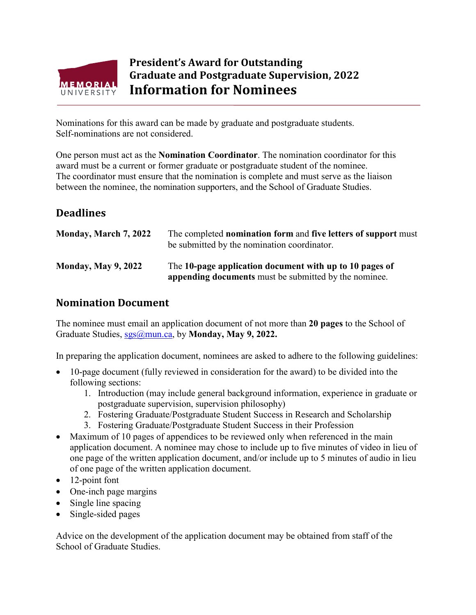

## **President's Award for Outstanding Graduate and Postgraduate Supervision, 2022 Information for Nominees**

Nominations for this award can be made by graduate and postgraduate students. Self-nominations are not considered.

One person must act as the **Nomination Coordinator**. The nomination coordinator for this award must be a current or former graduate or postgraduate student of the nominee. The coordinator must ensure that the nomination is complete and must serve as the liaison between the nominee, the nomination supporters, and the School of Graduate Studies.

## **Deadlines**

| Monday, March 7, 2022      | The completed nomination form and five letters of support must<br>be submitted by the nomination coordinator.    |
|----------------------------|------------------------------------------------------------------------------------------------------------------|
| <b>Monday, May 9, 2022</b> | The 10-page application document with up to 10 pages of<br>appending documents must be submitted by the nominee. |

## **Nomination Document**

The nominee must email an application document of not more than **20 pages** to the School of Graduate Studies, [sgs@mun.ca,](mailto:sgs@mun.ca) by **Monday, May 9, 2022.**

In preparing the application document, nominees are asked to adhere to the following guidelines:

- 10-page document (fully reviewed in consideration for the award) to be divided into the following sections:
	- 1. Introduction (may include general background information, experience in graduate or postgraduate supervision, supervision philosophy)
	- 2. Fostering Graduate/Postgraduate Student Success in Research and Scholarship
	- 3. Fostering Graduate/Postgraduate Student Success in their Profession
- Maximum of 10 pages of appendices to be reviewed only when referenced in the main application document. A nominee may chose to include up to five minutes of video in lieu of one page of the written application document, and/or include up to 5 minutes of audio in lieu of one page of the written application document.
- 12-point font
- One-inch page margins
- Single line spacing
- Single-sided pages

Advice on the development of the application document may be obtained from staff of the School of Graduate Studies.